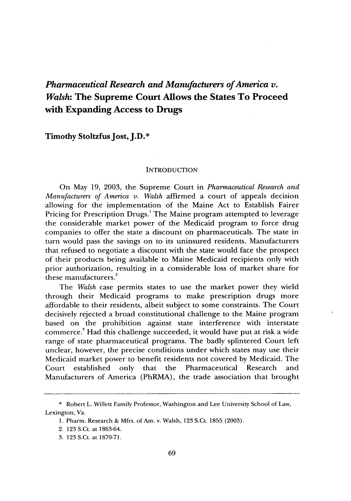# *Pharmaceutical Research and Manufacturers of America v. Walsh:* **The Supreme Court Allows the States To Proceed with Expanding Access to Drugs**

**Timothy Stoltzfus Jost, J.D.\***

#### **INTRODUCTION**

On May **19, 2003,** the Supreme Court in *Pharmaceutical Research and Manufacturers of America v. Walsh* affirmed a court of appeals decision allowing for the implementation of the Maine Act to Establish Fairer Pricing for Prescription Drugs.' The Maine program attempted to leverage the considerable market power of the Medicaid program to force drug companies to offer the state a discount on pharmaceuticals. The state in turn would pass the savings on to its uninsured residents. Manufacturers that refused to negotiate a discount with the state would face the prospect of their products being available to Maine Medicaid recipients only with prior authorization, resulting in a considerable loss of market share for these manufacturers.<sup>2</sup>

The *Walsh* case permits states to use the market power they wield through their Medicaid programs to make prescription drugs more affordable to their residents, albeit subject to some constraints. The Court decisively rejected a broad constitutional challenge to the Maine program based on the prohibition against state interference with interstate commerce.! Had this challenge succeeded, it would have put at risk a wide range of state pharmaceutical programs. The badly splintered Court left unclear, however, the precise conditions under which states may use their Medicaid market power to benefit residents not covered by Medicaid. The Court established only that the Pharmaceutical Research and Manufacturers of America (PhRMA), the trade association that brought

<sup>\*</sup> Robert L. Willett Family Professor, Washington and Lee University School of Law, Lexington, Va.

<sup>1.</sup> Pharm. Research & Mfrs. of Am. v. Walsh, 123 S.Ct. 1855 (2003).

<sup>2. 123</sup> S.Ct. at 1863-64.

<sup>3. 123</sup> S.Ct. at 1870-71.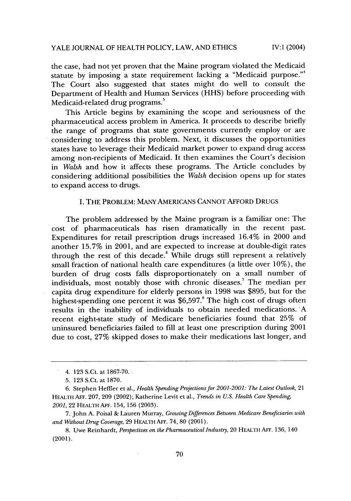the case, had not yet proven that the Maine program violated the Medicaid statute by imposing a state requirement lacking a "Medicaid purpose."<sup>4</sup> The Court also suggested that states might do well to consult the Department of Health and Human Services (HHS) before proceeding with Medicaid-related drug programs.

This Article begins by examining the scope and seriousness of the pharmaceutical access problem in America. It proceeds to describe briefly the range of programs that state governments currently employ or are considering to address this problem. Next, it discusses the opportunities states have to leverage their Medicaid market power to expand drug access among non-recipients of Medicaid. It then examines the Court's decision in *Walsh* and how it affects these programs. The Article concludes by considering additional possibilities the *Walsh* decision opens up for states to expand access to drugs.

## I. THE PROBLEM: MANY AMERICANS CANNOT AFFORD DRUGS

The problem addressed by the Maine program is a familiar one: The cost of pharmaceuticals has risen dramatically in the recent past. Expenditures for retail prescription drugs increased 16.4% in 2000 and another 15.7% in 2001, and are expected to increase at double-digit rates through the rest of this decade.<sup>6</sup> While drugs still represent a relatively small fraction of national health care expenditures (a little over 10%), the burden of drug costs falls disproportionately on a small number of individuals, most notably those with chronic diseases.7 The median per capita drug expenditure for elderly persons in 1998 was \$895, but for the highest-spending one percent it was \$6,597.<sup>8</sup> The high cost of drugs often results in the inability of individuals to obtain needed medications. A recent eight-state study of Medicare beneficiaries found that 25% of uninsured beneficiaries failed to fill at least one prescription during 2001 due to cost, 27% skipped doses to make their medications last longer, and

<sup>4. 123</sup> S.Ct. at 1867-70.

<sup>5. 123</sup> S.Ct. at 1870.

<sup>6.</sup> Stephen Heffier et al., *Health Spending Projections for 2001-2001: The Latest Outlook,* 21 HEALTH **AFF.** 207, 209 (2002); Katherine Levit et al., *Trends in U.S. Health Care Spending, 2001,* 22 HEALTH **AFF.** 154, 156 (2003).

<sup>7.</sup> John A. Poisal & Lauren Murray, *Growing Differences Between Medicare Beneficiaries with and Without Drug Coverage,* 29 HEALTH **AFF.** 74, 80 (2001).

<sup>8.</sup> Uwe Reinhardt, *Perspectives on the Pharmaceutical Industiy,* 20 HEALTH **AFF.** 136, 140 (2001).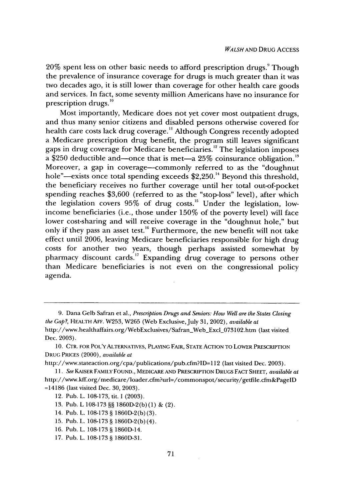20% spent less on other basic needs to afford prescription drugs." Though the prevalence of insurance coverage for drugs is much greater than it was two decades ago, it is still lower than coverage for other health care goods and services. In fact, some seventy million Americans have no insurance for prescription drugs. °

Most importantly, Medicare does not yet cover most outpatient drugs, and thus many senior citizens and disabled persons otherwise covered for health Care costs lack drug coverage." Although Congress recently adopted a Medicare prescription drug benefit, the program still leaves significant gaps in drug coverage for Medicare beneficiaries.<sup>12</sup> The legislation imposes a \$250 deductible and—once that is met—a  $25\%$  coinsurance obligation.<sup>13</sup> Moreover, a gap in coverage-commonly referred to as the "doughnut hole"—exists once total spending exceeds  $$2,250$ .<sup>14</sup> Beyond this threshold, the beneficiary receives no further coverage until her total out-of-pocket spending reaches \$3,600 (referred to as the "stop-loss" level), after which the legislation covers 95% of drug costs.<sup>15</sup> Under the legislation, lowincome beneficiaries (i.e., those under 150% of the poverty level) will face lower cost-sharing and will receive coverage in the "doughnut hole," but only if they pass an asset test.<sup>16</sup> Furthermore, the new benefit will not take effect until 2006, leaving Medicare beneficiaries responsible for high drug costs for another two years, though perhaps assisted somewhat by pharmacy discount cards.<sup>17</sup> Expanding drug coverage to persons other than Medicare beneficiaries is not even on the congressional policy agenda.

<sup>9.</sup> Dana Gelb Safran et al., *Prescription Drugs and Seniors: How Well are the States Closing the Gap?,* HEALTH AFr. W253, W265 (Web Exclusive,July 31, 2002), *available at* http://www.healthaffairs.org/WebExclusives/Safran\_Web\_Excl\_073102.htm (last visited Dec. 2003).

<sup>10.</sup> CTR. FOR POL'YALTERNATIVES, **PLAYING** FAIR, **STATE** ACTION TO LOWER PRESCRIPTION **DRUG** PRICES (2000), *available at*

http://www.stateaction.org/cpa/publications/pub.cfm?ID=1 12 (last visited Dec. 2003).

*<sup>11.</sup> See* KAISER FAMILY FOUND., MEDICARE **AND** PRESCRIPTION DRUGS **FACT SHEET,** *available at* http://www.kff.org/medicare/loader.cfm?url=/commonspot/security/getfile.cfm&PageID =14186 (last visited Dec. 30, 2003).

<sup>12.</sup> Pub. L. 108-173, tit. **1** (2003).

<sup>13.</sup> Pub. L 108-173 §§ 1860D-2(b)(1) & (2).

<sup>14.</sup> Pub. L. 108-173 § 1860D-2(b) (3).

<sup>15.</sup> Pub. L. 108-173 § 1860D-2(b) (4).

<sup>16.</sup> Pub. L. 108-173 **§** 1860D-14.

<sup>17.</sup> Pub. L. 108-173 § 1860D-31.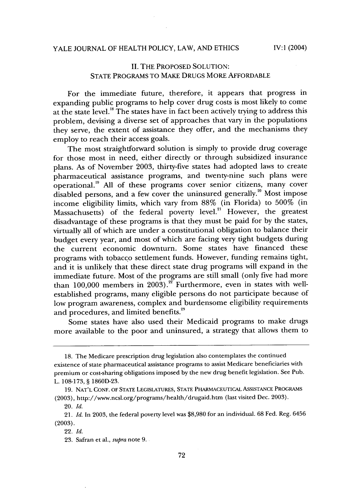## II. THE PROPOSED SOLUTION: STATE PROGRAMS TO MAKE DRUGS MORE AFFORDABLE

For the immediate future, therefore, it appears that progress in expanding public programs to help cover drug costs is most likely to come at the state level.<sup>18</sup> The states have in fact been actively trying to address this problem, devising a diverse set of approaches that vary in the populations they serve, the extent of assistance they offer, and the mechanisms they employ to reach their access goals.

The most straightforward solution is simply to provide drug coverage for those most in need, either directly or through subsidized insurance plans. As of November 2003, thirty-five states had adopted laws to create pharmaceutical assistance programs, and twenty-nine such plans were operational.<sup>19</sup> All of these programs cover senior citizens, many cover disabled persons, and a few cover the uninsured generally.<sup>20</sup> Most impose income eligibility limits, which vary from 88% (in Florida) to 500% (in Massachusetts) of the federal poverty level.<sup>21</sup> However, the greatest disadvantage of these programs is that they must be paid for by the states, virtually all of which are under a constitutional obligation to balance their budget every year, and most of which are facing very tight budgets during the current economic downturn. Some states have financed these programs with tobacco settlement funds. However, funding remains tight, and it is unlikely that these direct state drug programs will expand in the immediate future. Most of the programs are still small (only five had more than  $100,000$  members in 2003).<sup>22</sup> Furthermore, even in states with wellestablished programs, many eligible persons do not participate because of low program awareness, complex and burdensome eligibility requirements and procedures, and limited benefits.<sup>23</sup>

Some states have also used their Medicaid programs to make drugs more available to the poor and uninsured, a strategy that allows them to

<sup>18.</sup> The Medicare prescription drug legislation also contemplates the continued existence of state pharmaceutical assistance programs to assist Medicare beneficiaries with premium or cost-sharing obligations imposed by the new drug benefit legislation. See Pub. L. 108-173, § 1860D-23.

<sup>19.</sup> NAT'L CONF. OF STATE LEGISLATURES, STATE PHARMACEuTIcAL ASSISTANCE PROGRAMS (2003), http://www.ncsl.org/programs/health/drugaid.htm (last visited Dec. 2003).

<sup>20.</sup> *Id.*

<sup>21.</sup> *Id.* In 2003, the federal poverty level was \$8,980 for an individual. 68 Fed. Reg. 6456 (2003).

<sup>22.</sup> *Id.*

<sup>23.</sup> Safran et al., *supra* note 9.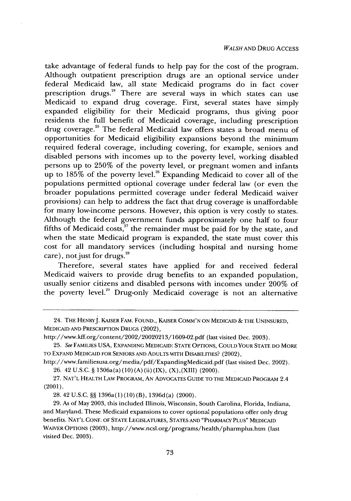take advantage of federal funds to help pay for the cost of the program. Although outpatient prescription drugs are an optional service under federal Medicaid law, all state Medicaid programs do in fact cover prescription drugs.<sup>24</sup> There are several ways in which states can use Medicaid to expand drug coverage. First, several states have simply expanded eligibility for their Medicaid programs, thus giving poor residents the full benefit of Medicaid coverage, including prescription drug coverage.<sup>25</sup> The federal Medicaid law offers states a broad menu of opportunities for Medicaid eligibility expansions beyond the minimum required federal coverage, including covering, for example, seniors and disabled persons with incomes up to the poverty level, working disabled persons up to 250% of the poverty level, or pregnant women and infants up to  $185\%$  of the poverty level.<sup>26</sup> Expanding Medicaid to cover all of the populations permitted optional coverage under federal law (or even the broader populations permitted coverage under federal Medicaid waiver provisions) can help to address the fact that drug coverage is unaffordable for many low-income persons. However, this option is very costly to states. Although the federal government funds approximately one half to four fifths of Medicaid costs,<sup>27</sup> the remainder must be paid for by the state, and when the state Medicaid program is expanded, the state must cover this cost for all mandatory services (including hospital and nursing home care), not just for drugs.<sup>28</sup>

Therefore, several states have applied for and received federal Medicaid waivers to provide drug benefits to an expanded population, usually senior citizens and disabled persons with incomes under 200% of the poverty level.<sup>29</sup> Drug-only Medicaid coverage is not an alternative

27. **NAT'L** HEALTH LAW PROGRAM, **AN** ADVOCATES GUIDE TO THE MEDICAID PROGRAM 2.4 (2001).

28.42 U.S.C. **§§** 1396a(1)(10) (B), 1396d(a) (2000).

29. As of May 2003, this included Illinois, Wisconsin, South Carolina, Florida, Indiana, and Maryland. These Medicaid expansions to cover optional populations offer only drug benefits. **NAT'L CONF.** OF **STATE LEGISLATURES, STATES AND** "PHARMACY **PLUS" MEDICAID** WAIVER OPTIONS (2003), http://ww.ncsl.org/programs/health/pharmplus.htm (last visited Dec. 2003).

<sup>24.</sup> THE HENRYJ. KAISER FAM. FOUND., KAISER **COMM'N ON** MEDICAID *&* THE **UNINSURED,** MEDICAID **AND** PRESCRIPTION **DRUGS** (2002),

http://www.kff.org/content/2002/20020213/1609-02.pdf (last visited Dec. 2003).

<sup>25.</sup> *See* FAMILIES USA, EXPANDING **MEDICAID: STATE OPTIONS, COULD** YOUR **STATE DO** MORE TO **EXPAND** MEDICAID FOR **SENIORS AND ADULTS** WITH DISABILITIES? (2002),

http://www.familiesusa.org/media/pdf/ExpandingMedicaid.pdf (last visited Dec. 2002). 26. 42 U.S.C. **§** 1306a(a) (10) (A) (ii)(IX), (X),(XIII) (2000).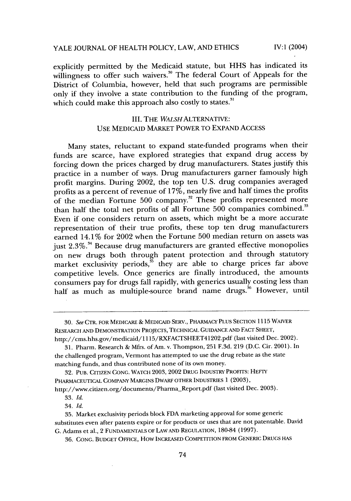IV:1 (2004)

explicitly permitted by the Medicaid statute, but HHS has indicated its willingness to offer such waivers.<sup>30</sup> The federal Court of Appeals for the District of Columbia, however, held that such programs are permissible only if they involve a state contribution to the funding of the program, which could make this approach also costly to states.<sup>31</sup>

## III. THE *WALSHALTERNATIVE:* USE MEDICAID MARKET POWER TO EXPAND ACCESS

Many states, reluctant to expand state-funded programs when their funds are scarce, have explored strategies that expand drug access by forcing down the prices charged by drug manufacturers. States justify this practice in a number of ways. Drug manufacturers garner famously high profit margins. During 2002, the top ten U.S. drug companies averaged profits as a percent of revenue of  $17\%$ , nearly five and half times the profits of the median Fortune 500 company.<sup>32</sup> These profits represented more than half the total net profits of all Fortune 500 companies combined.<sup>33</sup> Even if one considers return on assets, which might be a more accurate representation of their true profits, these top ten drug manufacturers earned 14.1% for 2002 when the Fortune 500 median return on assets was just 2.3%.<sup>34</sup> Because drug manufacturers are granted effective monopolies on new drugs both through patent protection and through statutory market exclusivity periods,<sup>35</sup> they are able to charge prices far above competitive levels. Once generics are finally introduced, the amounts consumers pay for drugs fall rapidly, with generics usually costing less than half as much as multiple-source brand name drugs.<sup>36</sup> However, until

32. PUB. CITIZEN CONG. WATCH 2003, 2002 DRUG INDUSTRY PROFITS: HEFTY PHARMACEUTICAL COMPANY MARGINS DWARF OTHER INDUSTRIES 1 (2003), http://www.citizen.org/documents/Pharma\_Report.pdf (last visited Dec. 2003).

33. *Id.*

34. *Id.*

36. CONG. BUDGET OFFICE, How INCREASED COMPETITION FROM GENERIC DRUGS HAS

<sup>30.</sup> *See* CTR. FOR MEDICARE *&* MEDICAID SERV., PHARMACY **PLUS** SECTION 1115 WAIVER RESEARCH AND DEMONSTRATION PROJECTS, TECHNICAL GUIDANCE AND FACT SHEET, http://cms.hhs.gov/medicaid/115/RXFACTSHEET41202.pdf (last visited Dec. 2002).

<sup>31.</sup> Pharm. Research & Mfrs. of Am. v. Thompson, 251 F.3d. 219 (D.C. Cir. 2001). In the challenged program, Vermont has attempted to use the drug rebate as the state matching funds, and thus contributed none of its own money.

<sup>35.</sup> Market exclusivity periods block FDA marketing approval for some generic substitutes even after patents expire or for products or uses that are not patentable. David G. Adams et al., 2 FUNDAMENTALS OF LAW AND REGULATION, 180-84 (1997).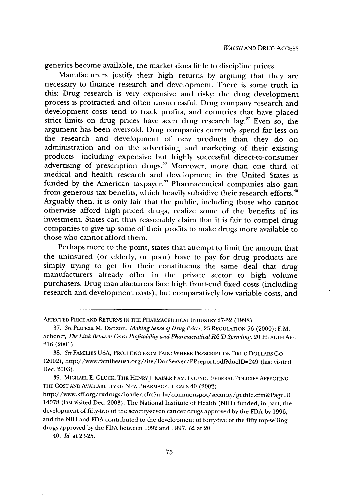generics become available, the market does little to discipline prices.

Manufacturers justify their high returns by arguing that they are necessary to finance research and development. There is some truth in this: Drug research is very expensive and risky; the drug development process is protracted and often unsuccessful. Drug company research and development costs tend to track profits, and countries that have placed strict limits on drug prices have seen drug research lag.<sup>37</sup> Even so, the argument has been oversold. Drug companies currently spend far less on the research and development of new products than they do on administration and on the advertising and marketing of their existing products-including expensive but highly successful direct-to-consumer advertising of prescription drugs.<sup>38</sup> Moreover, more than one third of medical and health research and development in the United States is funded by the American taxpayer.<sup>39</sup> Pharmaceutical companies also gain from generous tax benefits, which heavily subsidize their research efforts.<sup>40</sup> Arguably then, it is only fair that the public, including those who cannot otherwise afford high-priced drugs, realize some of the benefits of its investment. States can thus reasonably claim that it is fair to compel drug companies to give up some of their profits to make drugs more available to those who cannot afford them.

Perhaps more to the point, states that attempt to limit the amount that the uninsured (or elderly, or poor) have to pay for drug products are simply trying to get for their constituents the same deal that drug manufacturers already offer in the private sector to high volume purchasers. Drug manufacturers face high front-end fixed costs (including research and development costs), but comparatively low variable costs, and

38. *See* FAMILIES USA, PROFITING FROM PAIN: WHERE PRESCRIPTION DRUG DOLLARS Go (2002), http://www.familiesusa.org/site/DocServer/PPreport.pdf?doclD=249 (last visited Dec. 2003).

39. **MICHAEL E.** GLUCK, THE HENRYJ. KAISER FAM. FOUND., FEDERAL POLICIES AFFECTING THE COST AND AvALABILITY OF NEW PHARMACEUTICALS 40 (2002),

http://www.kff.org/rxdrugs/loader.cfm?url=/commonspot/security/getfile.cfm&PagelD= 14078 (last visited Dec. 2003). The National Institute of Health (NIH) funded, in part, the development of fifty-two of the seventy-seven cancer drugs approved by the FDA by 1996, and the NIH and FDA contributed to the development of forty-five of the fifty top-selling drugs approved by the FDA between 1992 and 1997. *Id.* at 20.

40. *Id.* at 23-25.

AFFECTED PRICE AND RETURNS **IN** THE PHARMACEUTICAL INDUSTRY **27-32** (1998).

<sup>37.</sup> *See* Patricia M. Danzon, *Making Sense of Drug Prices,* 23 REGULATION 56 (2000); F.M. Scherer, *The Link Between Gross Profitability and Pharmaceutical R&D Spending,* 20 HEALTH AFF. 216 (2001).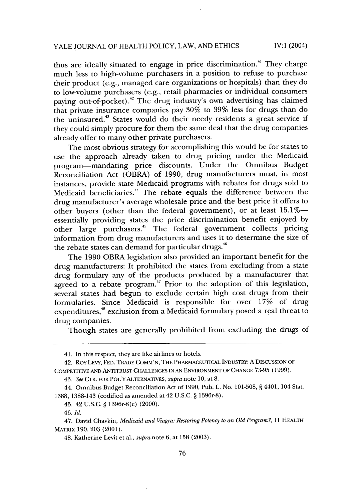## YALE JOURNAL OF HEALTH POLICY, LAW, AND ETHICS

 $IV:1 (2004)$ 

thus are ideally situated to engage in price discrimination.<sup>41</sup> They charge much less to high-volume purchasers in a position to refuse to purchase their product (e.g., managed care organizations or hospitals) than they do to low-volume purchasers (e.g., retail pharmacies or individual consumers paying out-of-pocket).<sup>42</sup> The drug industry's own advertising has claimed that private insurance companies pay 30% to 39% less for drugs than do the uninsured.43 States would do their needy residents a great service if they could simply procure for them the same deal that the drug companies already offer to many other private purchasers.

The most obvious strategy for accomplishing this would be for states to use the approach already taken to drug pricing under the Medicaid program-mandating price discounts. Under the Omnibus Budget Reconciliation Act (OBRA) of 1990, drug manufacturers must, in most instances, provide state Medicaid programs with rebates for drugs sold to Medicaid beneficiaries.<sup>44</sup> The rebate equals the difference between the drug manufacturer's average wholesale price and the best price it offers to other buyers (other than the federal government), or at least  $15.1\%$  essentially providing states the price discrimination benefit enjoyed by other large purchasers.<sup>45</sup> The federal government collects pricing information from drug manufacturers and uses it to determine the size of the rebate states can demand for particular drugs.<sup>46</sup>

The 1990 OBRA legislation also provided an important benefit for the drug manufacturers: It prohibited the states from excluding from a state drug formulary any of the products produced by a manufacturer that agreed to a rebate program.<sup>47</sup> Prior to the adoption of this legislation, several states had begun to exclude certain high cost drugs from their formularies. Since Medicaid is responsible for over 17% of drug expenditures,<sup>48</sup> exclusion from a Medicaid formulary posed a real threat to drug companies.

Though states are generally prohibited from excluding the drugs of

<sup>41.</sup> In this respect, they are like airlines or hotels.

<sup>42.</sup> Roy LEVY, **FED.** TRADE **COMM'N,** THE **PHARMACEUTICAL** INDUSTRY: **A DISCUSSION** OF COMPETITIVE **AND ANTITRUST CHALLENGES IN AN ENVIRONMENT** OF **CHANGE** 73-95 (1999).

<sup>43.</sup> *See* CTR. FOR POL'YALTERNAT1VES, *supra* note 10, at 8.

<sup>44.</sup> Omnibus Budget Reconciliation Act of 1990, Pub. L. No. 101-508, § 4401, 104 Stat. 1388, 1388-143 (codified as amended at 42 U.S.C. § 1396r-8).

<sup>45. 42</sup> U.S.C. § 1396r-8(c) (2000).

<sup>46.</sup> *Id.*

<sup>47.</sup> David Chavkin, *Medicaid and Viagra: Restoring Potency to an Old Program?,* 11 HEALTH MATRIX 190, 203 (2001).

<sup>48.</sup> Katherine Levit et al., *supra* note 6, at 158 (2003).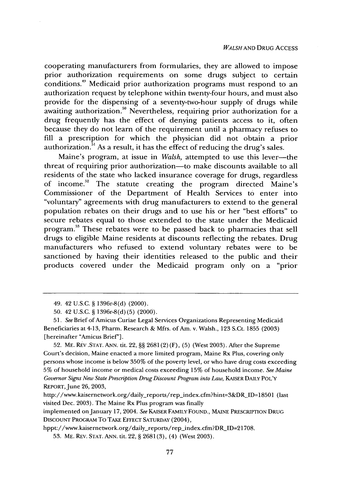cooperating manufacturers from formularies, they are allowed to impose prior authorization requirements on some drugs subject to certain conditions."' Medicaid prior authorization programs must respond to an authorization request by telephone within twenty-four hours, and must also provide for the dispensing of a seventy-two-hour supply of drugs while awaiting authorization.<sup>50</sup> Nevertheless, requiring prior authorization for a drug frequently has the effect of denying patients access to it, often because they do not learn of the requirement until a pharmacy refuses to fill a prescription for which the physician did not obtain a prior authorization.<sup>51</sup> As a result, it has the effect of reducing the drug's sales.

Maine's program, at issue in *Walsh*, attempted to use this lever-the threat of requiring prior authorization-to make discounts available to all residents of the state who lacked insurance coverage for drugs, regardless of income.<sup>52</sup> The statute creating the program directed Maine's Commissioner of the Department of Health Services to enter into "voluntary" agreements with drug manufacturers to extend to the general population rebates on their drugs and to use his or her "best efforts" to secure rebates equal to those extended to the state under the Medicaid program.<sup>53</sup> These rebates were to be passed back to pharmacies that sell drugs to eligible Maine residents at discounts reflecting the rebates. Drug manufacturers who refused to extend voluntary rebates were to be sanctioned by having their identities released to the public and their products covered under the Medicaid program only on a "prior

52. ME. **REV** .STAT. **ANN.** tit. 22, §§ 2681 (2) (F), (5) (West 2003). After the Supreme Court's decision, Maine enacted a more limited program, Maine Rx Plus, covering only persons whose income is below 350% of the poverty level, or who have drug costs exceeding 5% of household income or medical costs exceeding 15% of household income. *See Maine Governor Signs New State Prescription Drug Discount Program into Law,* KAISER DAILY POL'Y REPORT, June 26, 2003,

implemented on January 17, 2004. *See* KAISER FAMILY FOUND., **MAINE** PRESCRIPTION **DRUG DISCOUNT** PROGRAM To TAKE **EFFECT** SATURDAY (2004),

hppt://www.kaisernetwork.org/daily\_reports/rep\_index.cfm?DR\_ID=21708.

53. ME. REV. **STAT.** ANN. tit. 22, § 2681 (3), (4) (West 2003).

<sup>49. 42</sup> U.S.C. § 1396r-8(d) (2000).

<sup>50. 42</sup> U.S.C. § 1396r-8(d) (5) (2000).

<sup>51.</sup> *See* Brief of Amicus Curiae Legal Services Organizations Representing Medicaid Beneficiaries at 4-13, Pharm. Research & Mfrs. of Am. v. Walsh., 123 S.Ct. 1855 (2003) [hereinafter "Amicus Brief"].

http://www.kaisernetwork.org/daily\_reports/rep\_index.cfm?hint=3&DR\_ID=18501 (last visited Dec. 2003). The Maine Rx Plus program was finally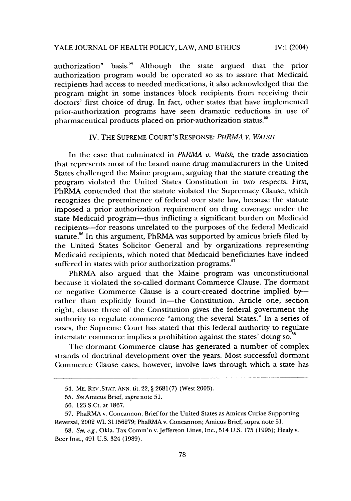### YALE JOURNAL OF HEALTH POLICY, LAW, AND ETHICS

IV:1  $(2004)$ 

authorization" basis **.** Although the state argued that the prior authorization program would be operated so as to assure that Medicaid recipients had access to needed medications, it also acknowledged that the program might in some instances block recipients from receiving their doctors' first choice of drug. In fact, other states that have implemented prior-authorization programs have seen dramatic reductions in use of pharmaceutical products placed on prior-authorization status.

#### IV. THE SUPREME COURT'S RESPONSE: *PHRMA V. WALSH*

In the case that culminated in *PhRMA v. Walsh,* the trade association that represents most of the brand name drug manufacturers in the United States challenged the Maine program, arguing that the statute creating the program violated the United States Constitution in two respects. First, PhRMA contended that the statute violated the Supremacy Clause, which recognizes the preeminence of federal over state law, because the statute imposed a prior authorization requirement on drug coverage under the state Medicaid program-thus inflicting a significant burden on Medicaid recipients-for reasons unrelated to the purposes of the federal Medicaid statute.<sup>56</sup> In this argument, PhRMA was supported by amicus briefs filed by the United States Solicitor General and by organizations representing Medicaid recipients, which noted that Medicaid beneficiaries have indeed suffered in states with prior authorization programs.<sup>57</sup>

PhRMA also argued that the Maine program was unconstitutional because it violated the so-called dormant Commerce Clause. The dormant or negative Commerce Clause is a court-created doctrine implied byrather than explicitly found in-the Constitution. Article one, section eight, clause three of the Constitution gives the federal government the authority to regulate commerce "among the several States." In a series of cases, the Supreme Court has stated that this federal authority to regulate interstate commerce implies a prohibition against the states' doing so.<sup>58</sup>

The dormant Commerce clause has generated a number of complex strands of doctrinal development over the years. Most successful dormant Commerce Clause cases, however, involve laws through which a state has

<sup>54.</sup> ME. **REV** .STAT. **ANN.** tit. 22, § 2681(7) (West 2003).

<sup>55.</sup> *See* Amicus Brief, supra note 51.

<sup>56. 123</sup> S.Ct. at 1867.

<sup>57.</sup> PhaRMA v. Concannon, Brief for the United States as Amicus Curiae Supporting Reversal, 2002 WL 31156279; PhaRMA v. Concannon; Amicus Brief, supra note 51.

<sup>58.</sup> See, e.g., Okla. Tax Comm'n v. Jefferson Lines, Inc., 514 U.S. 175 (1995); Healy v. Beer Inst., 491 U.S. 324 (1989).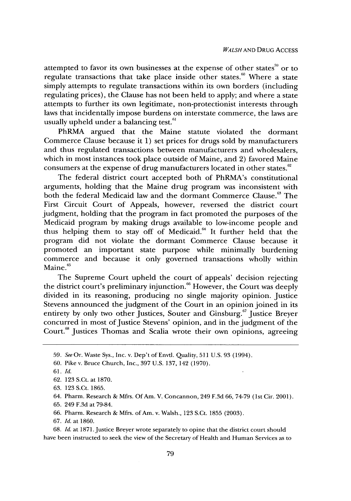attempted to favor its own businesses at the expense of other states<sup>59</sup> or to regulate transactions that take place inside other states. $\stackrel{60}{\ }$  Where a state simply attempts to regulate transactions within its own borders (including regulating prices), the Clause has not been held to apply; and where a state attempts to further its own legitimate, non-protectionist interests through laws that incidentally impose burdens on interstate commerce, the laws are usually upheld under a balancing test.<sup>61</sup>

PhRMA argued that the Maine statute violated the dormant Commerce Clause because it 1) set prices for drugs sold by manufacturers and thus regulated transactions between manufacturers and wholesalers, which in most instances took place outside of Maine, and 2) favored Maine consumers at the expense of drug manufacturers located in other states.<sup>62</sup>

The federal district court accepted both of PhRMA's constitutional arguments, holding that the Maine drug program was inconsistent with both the federal Medicaid law and the dormant Commerce Clause.<sup>68</sup> The First Circuit Court of Appeals, however, reversed the district court judgment, holding that the program in fact promoted the purposes of the Medicaid program by making drugs available to low-income people and thus helping them to stay off of Medicaid. $64$  It further held that the program did not violate the dormant Commerce Clause because it promoted an important state purpose while minimally burdening commerce and because it only governed transactions wholly within Maine.<sup>65</sup>

The Supreme Court upheld the court of appeals' decision rejecting the district court's preliminary injunction.<sup>66</sup> However, the Court was deeply divided in its reasoning, producing no single majority opinion. Justice Stevens announced the judgment of the Court in an opinion joined in its entirety by only two other Justices, Souter and Ginsburg.<sup>67</sup> Justice Breyer concurred in most of Justice Stevens' opinion, and in the judgment of the Court.<sup>68</sup> Justices Thomas and Scalia wrote their own opinions, agreeing

- 66. Pharm. Research & Mfrs. of Am. v. Walsh., 123 S.Ct. 1855 (2003).
- 67. *Id.* at 1860.

68. *Id.* at 1871.Justice Breyer wrote separately to opine that the district court should have been instructed to seek the view of the Secretary of Health and Human Services as to

<sup>59.</sup> *See* Or. Waste Sys., Inc. v. Dep't of Envtl. Quality, 511 U.S. 93 (1994).

<sup>60.</sup> Pike v. Bruce Church, Inc., 397 U.S. 137, 142 (1970).

<sup>61.</sup> *Id.*

<sup>62. 123</sup> S.Ct. at 1870.

<sup>63. 123</sup> S.Ct. 1865.

<sup>64.</sup> Pharm. Research & Mfrs. Of Am. V. Concannon, 249 F.3d 66, 74-79 (1st Cir. 2001).

<sup>65. 249</sup> F.3d at 79-84.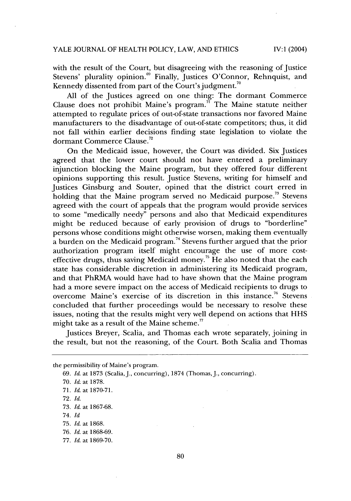with the result of the Court, but disagreeing with the reasoning of Justice Stevens' plurality opinion.<sup>69</sup> Finally, Justices O'Connor, Rehnquist, and Kennedy dissented from part of the Court's judgment.<sup>70</sup>

All of the Justices agreed on one thing: The dormant Commerce Clause does not prohibit Maine's program.<sup> $\overline{n}$ </sup> The Maine statute neither attempted to regulate prices of out-of-state transactions nor favored Maine manufacturers to the disadvantage of out-of-state competitors; thus, it did not fall within earlier decisions finding state legislation to violate the dormant Commerce Clause.<sup>72</sup>

On the Medicaid issue, however, the Court was divided. Six Justices agreed that the lower court should not have entered a preliminary injunction blocking the Maine program, but they offered four different opinions supporting this result. Justice Stevens, writing for himself and Justices Ginsburg and Souter, opined that the district court erred in holding that the Maine program served no Medicaid purpose.<sup>73</sup> Stevens agreed with the court of appeals that the program would provide services to some "medically needy" persons and also that Medicaid expenditures might be reduced because of early provision of drugs to "borderline" persons whose conditions might otherwise worsen, making them eventually  $\alpha$  burden on the Medicaid program.<sup>74</sup> Stevens further argued that the prior authorization program itself might encourage the use of more costeffective drugs, thus saving Medicaid money.<sup>75</sup> He also noted that the each state has considerable discretion in administering its Medicaid program, and that PhRMA would have had to have shown that the Maine program had a more severe impact on the access of Medicaid recipients to drugs to overcome Maine's exercise of its discretion in this instance.<sup>76</sup> Stevens concluded that further proceedings would be necessary to resolve these issues, noting that the results might very well depend on actions that HHS might take as a result of the Maine scheme. $7$ 

Justices Breyer, Scalia, and Thomas each wrote separately, joining in the result, but not the reasoning, of the Court. Both Scalia and Thomas

the permissibility of Maine's program.

<sup>69.</sup> *Id.* at 1873 (Scalia, J., concurring), 1874 (Thomas, J., concurring).

<sup>70.</sup> *Id.* at 1878.

<sup>71.</sup> *Id.* at 1870-71.

<sup>72.</sup> *Id.*

<sup>73.</sup> *Id.* at 1867-68.

<sup>74.</sup> *Id*

<sup>75.</sup> *Id.* at 1868.

<sup>76.</sup> *Id.* at 1868-69.

<sup>77.</sup> *Id.* at 1869-70.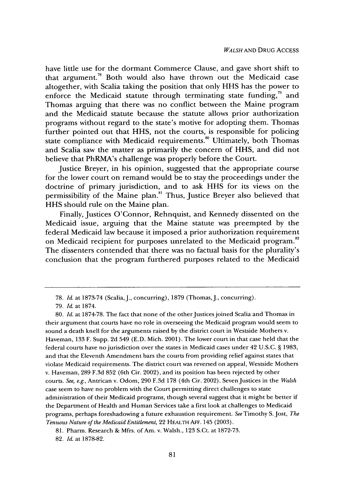have little use for the dormant Commerce Clause, and gave short shift to that argument.78 Both would also have thrown out the Medicaid case altogether, with Scalia taking the position that only HHS has the power to enforce the Medicaid statute through terminating state funding, $\frac{79}{12}$  and Thomas arguing that there was no conflict between the Maine program and the Medicaid statute because the statute allows prior authorization programs without regard to the state's motive for adopting them. Thomas further pointed out that HHS, not the courts, is responsible for policing state compliance with Medicaid requirements.<sup>80</sup> Ultimately, both Thomas and Scalia saw the matter as primarily the concern of HHS, and did not believe that PhRMA's challenge was properly before the Court.

Justice Breyer, in his opinion, suggested that the appropriate course for the lower court on remand would be to stay the proceedings under the doctrine of primary jurisdiction, and to ask HHS for its views on the permissibility of the Maine plan.<sup>81</sup> Thus, Justice Breyer also believed that HHS should rule on the Maine plan.

Finally, Justices O'Connor, Rehnquist, and Kennedy dissented on the Medicaid issue, arguing that the Maine statute was preempted by the federal Medicaid law because it imposed a prior authorization requirement**82** on Medicaid recipient for purposes unrelated to the Medicaid program. The dissenters contended that there was no factual basis for the plurality's conclusion that the program furthered purposes related to the Medicaid

<sup>78.</sup> *Id.* at 1873-74 (Scalia, J., concurring), 1879 (Thomas, J., concurring).

<sup>79.</sup> *Id.* at 1874.

<sup>80.</sup> *Id.* at 1874-78. The fact that none of the other Justices joined Scalia and Thomas in their argument that courts have no role in overseeing the Medicaid program would seem to sound a death knell for the arguments raised by the district court in Westside Mothers v. Haveman, 133 F. Supp. 2d 549 (E.D. Mich. 2001). The lower court in that case held that the federal courts have no jurisdiction over the states in Medicaid cases under 42 U.S.C. **§** 1983, and that the Eleventh Amendment bars the courts from providing relief against states that violate Medicaid requirements. The district court was reversed on appeal, Westside Mothers v. Haveman, 289 F.3d 852 (6th Cir. 2002), and its position has been rejected by other courts. *See,* e.g., Antrican v. Odom, 290 F.3d 178 (4th Cir. 2002). Seven Justices in the *Walsh* case seem to have no problem with the Court permitting direct challenges to state administration of their Medicaid programs, though several suggest that it might be better if the Department of Health and Human Services take a first look at challenges to Medicaid programs, perhaps foreshadowing a future exhaustion requirement. See Timothy S. Jost, *The Tenuous Nature of the Medicaid Entitlement,* 22 HEALTH **AFF.** 145 (2003).

<sup>81.</sup> Pharm. Research & Mfrs. of Am. v. Walsh., 123 S.Ct. at 1872-73.

<sup>82.</sup> *Id.* at 1878-82.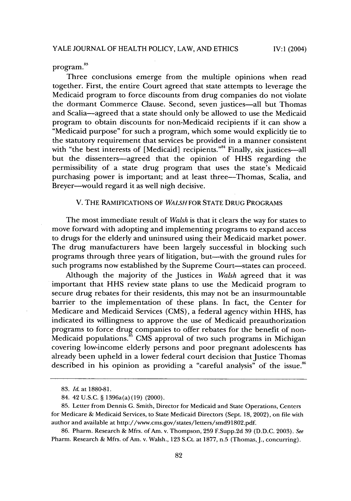program.<sup>83</sup>

Three conclusions emerge from the multiple opinions when read together. First, the entire Court agreed that state attempts to leverage the Medicaid program to force discounts from drug companies do not violate the dormant Commerce Clause. Second, seven justices-all but Thomas and Scalia-agreed that a state should only be allowed to use the Medicaid program to obtain discounts for non-Medicaid recipients if it can show a "Medicaid purpose" for such a program, which some would explicitly tie to the statutory requirement that services be provided in a manner consistent with "the best interests of [Medicaid] recipients."<sup>84</sup> Finally, six justices-all but the dissenters-agreed that the opinion of HHS regarding the permissibility of a state drug program that uses the state's Medicaid purchasing power is important; and at least three-Thomas, Scalia, and Breyer-would regard it as well nigh decisive.

#### V. THE RAMIFICATIONS OF *WALSH* FOR STATE DRUG PROGRAMS

The most immediate result of *Walsh* is that it clears the way for states to move forward with adopting and implementing programs to expand access to drugs for the elderly and uninsured using their Medicaid market power. The drug manufacturers have been largely successful in blocking such programs through three years of litigation, but-with the ground rules for such programs now established by the Supreme Court-states can proceed.

Although the majority of the Justices in *Walsh* agreed that it was important that HHS review state plans to use the Medicaid program to secure drug rebates for their residents, this may not be an insurmountable barrier to the implementation of these plans. In fact, the Center for Medicare and Medicaid Services (CMS), a federal agency within HHS, has indicated its willingness to approve the use of Medicaid preauthorization programs to force drug companies to offer rebates for the benefit of non-Medicaid populations. $\frac{85}{10}$  CMS approval of two such programs in Michigan covering low-income elderly persons and poor pregnant adolescents has already been upheld in a lower federal court decision that Justice Thomas described in his opinion as providing a "careful analysis" of the issue.<sup>8</sup>

<sup>83.</sup> *Id.* at 1880-81.

<sup>84. 42</sup> U.S.C. § 1396a(a) (19) (2000).

<sup>85.</sup> Letter from Dennis G. Smith, Director for Medicaid and State Operations, Centers for Medicare & Medicaid Services, to State Medicaid Directors (Sept. 18, 2002), on file with author and available at http://www.cms.gov/states/letters/smd91802.pdf.

<sup>86.</sup> Pharm. Research & Mfrs. of Am. v. Thompson, 259 F.Supp.2d 39 (D.D.C. 2003). See Pharm. Research & Mfrs. of Am. v. Walsh., 123 S.Ct. at 1877, n.5 (Thomas, J., concurring).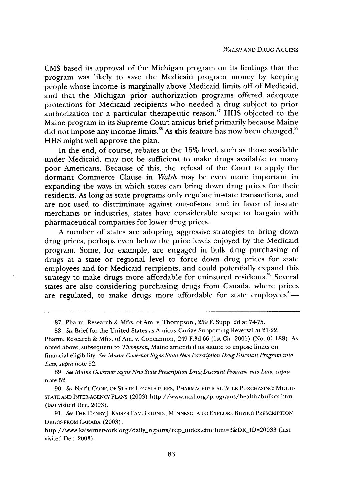CMS based its approval of the Michigan program on its findings that the program was likely to save the Medicaid program money by keeping people whose income is marginally above Medicaid limits off of Medicaid, and that the Michigan prior authorization programs offered adequate protections for Medicaid recipients who needed a drug subject to prior authorization for a particular therapeutic reason.<sup>87</sup> HHS objected to the Maine program in its Supreme Court amicus brief primarily because Maine did not impose any income limits.<sup>88</sup> As this feature has now been changed,<sup>89</sup> HHS might well approve the plan.

In the end, of course, rebates at the 15% level, such as those available under Medicaid, may not be sufficient to make drugs available to many poor Americans. Because of this, the refusal of the Court to apply the dormant Commerce Clause in *Walsh* may be even more important in expanding the ways in which states can bring down drug prices for their residents. As long as state programs only regulate in-state transactions, and are not used to discriminate against out-of-state and in favor of in-state merchants or industries, states have considerable scope to bargain with pharmaceutical companies for lower drug prices.

A number of states are adopting aggressive strategies to bring down drug prices, perhaps even below the price levels enjoyed by the Medicaid program. Some, for example, are engaged in bulk drug purchasing of drugs at a state or regional level to force down drug prices for state employees and for Medicaid recipients, and could potentially expand this strategy to make drugs more affordable for uninsured residents.<sup>30</sup> Several states are also considering purchasing drugs from Canada, where prices are regulated, to make drugs more affordable for state employees<sup>91</sup>-

87. Pharm. Research & Mfrs. of Am. v. Thompson, 259 F. Supp. 2d at 74-75.

88. *See* Brief for the United States as Amicus Curiae Supporting Reversal at 21-22,

Pharm. Research & Mfrs. of Am. v. Concannon, 249 F.3d 66 (1st Cir. 2001) (No. 01-188). As noted above, subsequent to *Thompson,* Maine amended its statute to impose limits on financial eligibility. *See Maine Governor Signs State New Prescription Drug Discount Program into Law, supra* note 52.

89. *See Maine Governor Signs New State Prescription Drug Discount Program into Law, supra* note 52.

90. *See* NAT'L CONF. OF STATE LEGISLATURES, PHARMACEUTICAL BULK PURCHASING: MULTI-STATE AND INTER-AGENCY PLANS (2003) http://www.ncsl.org/programs/health/bulkrx.htm (last visited Dec. 2003).

91. *See* THE HENRYJ. KAISER FAM. FOUND., MINNESOTA TO EXPLORE BUYING PRESCRIPTION DRUGS FROM CANADA (2003),

http://www.kaisernetwork.org/daily\_reports/rep\_index.cfm?hint=3&DR\_ID=20033 (last visited Dec. 2003).